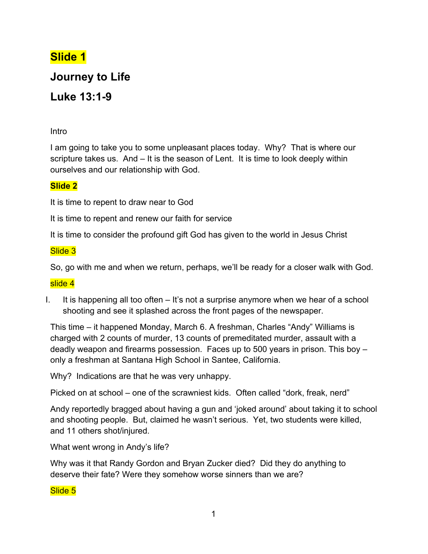# **Slide 1**

# **Journey to Life**

# **Luke 13:1-9**

Intro

I am going to take you to some unpleasant places today. Why? That is where our scripture takes us. And – It is the season of Lent. It is time to look deeply within ourselves and our relationship with God.

## **Slide 2**

It is time to repent to draw near to God

It is time to repent and renew our faith for service

It is time to consider the profound gift God has given to the world in Jesus Christ

## Slide 3

So, go with me and when we return, perhaps, we'll be ready for a closer walk with God.

#### slide 4

I. It is happening all too often – It's not a surprise anymore when we hear of a school shooting and see it splashed across the front pages of the newspaper.

This time – it happened Monday, March 6. A freshman, Charles "Andy" Williams is charged with 2 counts of murder, 13 counts of premeditated murder, assault with a deadly weapon and firearms possession. Faces up to 500 years in prison. This boy – only a freshman at Santana High School in Santee, California.

Why? Indications are that he was very unhappy.

Picked on at school – one of the scrawniest kids. Often called "dork, freak, nerd"

Andy reportedly bragged about having a gun and 'joked around' about taking it to school and shooting people. But, claimed he wasn't serious. Yet, two students were killed, and 11 others shot/injured.

What went wrong in Andy's life?

Why was it that Randy Gordon and Bryan Zucker died? Did they do anything to deserve their fate? Were they somehow worse sinners than we are?

Slide 5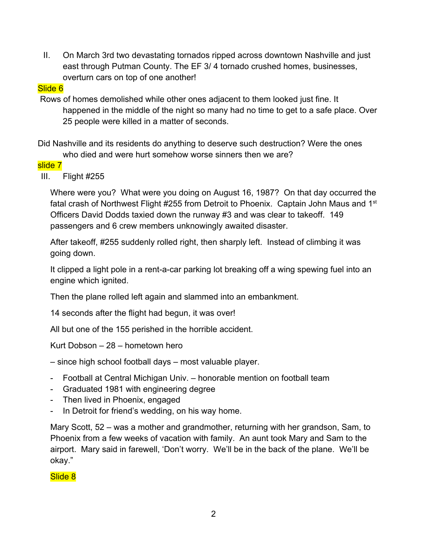II. On March 3rd two devastating tornados ripped across downtown Nashville and just east through Putman County. The EF 3/ 4 tornado crushed homes, businesses, overturn cars on top of one another!

#### Slide 6

 Rows of homes demolished while other ones adjacent to them looked just fine. It happened in the middle of the night so many had no time to get to a safe place. Over 25 people were killed in a matter of seconds.

Did Nashville and its residents do anything to deserve such destruction? Were the ones who died and were hurt somehow worse sinners then we are?

#### slide 7

III. Flight #255

Where were you? What were you doing on August 16, 1987? On that day occurred the fatal crash of Northwest Flight #255 from Detroit to Phoenix. Captain John Maus and 1<sup>st</sup> Officers David Dodds taxied down the runway #3 and was clear to takeoff. 149 passengers and 6 crew members unknowingly awaited disaster.

After takeoff, #255 suddenly rolled right, then sharply left. Instead of climbing it was going down.

It clipped a light pole in a rent-a-car parking lot breaking off a wing spewing fuel into an engine which ignited.

Then the plane rolled left again and slammed into an embankment.

14 seconds after the flight had begun, it was over!

All but one of the 155 perished in the horrible accident.

Kurt Dobson – 28 – hometown hero

- since high school football days most valuable player.
- Football at Central Michigan Univ. honorable mention on football team
- Graduated 1981 with engineering degree
- Then lived in Phoenix, engaged
- In Detroit for friend's wedding, on his way home.

Mary Scott, 52 – was a mother and grandmother, returning with her grandson, Sam, to Phoenix from a few weeks of vacation with family. An aunt took Mary and Sam to the airport. Mary said in farewell, 'Don't worry. We'll be in the back of the plane. We'll be okay."

Slide 8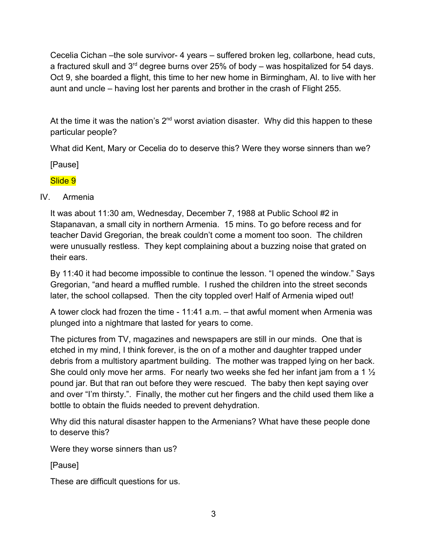Cecelia Cichan –the sole survivor- 4 years – suffered broken leg, collarbone, head cuts, a fractured skull and  $3<sup>rd</sup>$  degree burns over 25% of body – was hospitalized for 54 days. Oct 9, she boarded a flight, this time to her new home in Birmingham, Al. to live with her aunt and uncle – having lost her parents and brother in the crash of Flight 255.

At the time it was the nation's  $2^{nd}$  worst aviation disaster. Why did this happen to these particular people?

What did Kent, Mary or Cecelia do to deserve this? Were they worse sinners than we?

[Pause]

# Slide 9

IV. Armenia

It was about 11:30 am, Wednesday, December 7, 1988 at Public School #2 in Stapanavan, a small city in northern Armenia. 15 mins. To go before recess and for teacher David Gregorian, the break couldn't come a moment too soon. The children were unusually restless. They kept complaining about a buzzing noise that grated on their ears.

By 11:40 it had become impossible to continue the lesson. "I opened the window." Says Gregorian, "and heard a muffled rumble. I rushed the children into the street seconds later, the school collapsed. Then the city toppled over! Half of Armenia wiped out!

A tower clock had frozen the time - 11:41 a.m. – that awful moment when Armenia was plunged into a nightmare that lasted for years to come.

The pictures from TV, magazines and newspapers are still in our minds. One that is etched in my mind, I think forever, is the on of a mother and daughter trapped under debris from a multistory apartment building. The mother was trapped lying on her back. She could only move her arms. For nearly two weeks she fed her infant jam from a 1 ½ pound jar. But that ran out before they were rescued. The baby then kept saying over and over "I'm thirsty.". Finally, the mother cut her fingers and the child used them like a bottle to obtain the fluids needed to prevent dehydration.

Why did this natural disaster happen to the Armenians? What have these people done to deserve this?

Were they worse sinners than us?

[Pause]

These are difficult questions for us.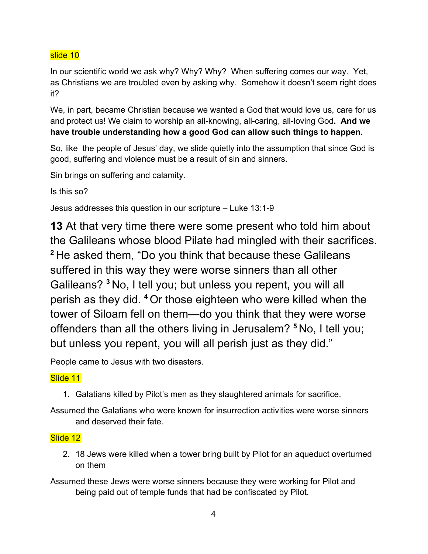#### slide 10

In our scientific world we ask why? Why? Why? When suffering comes our way. Yet, as Christians we are troubled even by asking why. Somehow it doesn't seem right does it?

We, in part, became Christian because we wanted a God that would love us, care for us and protect us! We claim to worship an all-knowing, all-caring, all-loving God**. And we have trouble understanding how a good God can allow such things to happen.**

So, like the people of Jesus' day, we slide quietly into the assumption that since God is good, suffering and violence must be a result of sin and sinners.

Sin brings on suffering and calamity.

Is this so?

Jesus addresses this question in our scripture – Luke 13:1-9

**13** At that very time there were some present who told him about the Galileans whose blood Pilate had mingled with their sacrifices. **<sup>2</sup>** He asked them, "Do you think that because these Galileans suffered in this way they were worse sinners than all other Galileans? **<sup>3</sup>** No, I tell you; but unless you repent, you will all perish as they did. **<sup>4</sup>** Or those eighteen who were killed when the tower of Siloam fell on them—do you think that they were worse offenders than all the others living in Jerusalem? **<sup>5</sup>** No, I tell you; but unless you repent, you will all perish just as they did."

People came to Jesus with two disasters.

## Slide 11

1. Galatians killed by Pilot's men as they slaughtered animals for sacrifice.

Assumed the Galatians who were known for insurrection activities were worse sinners and deserved their fate.

## Slide 12

- 2. 18 Jews were killed when a tower bring built by Pilot for an aqueduct overturned on them
- Assumed these Jews were worse sinners because they were working for Pilot and being paid out of temple funds that had be confiscated by Pilot.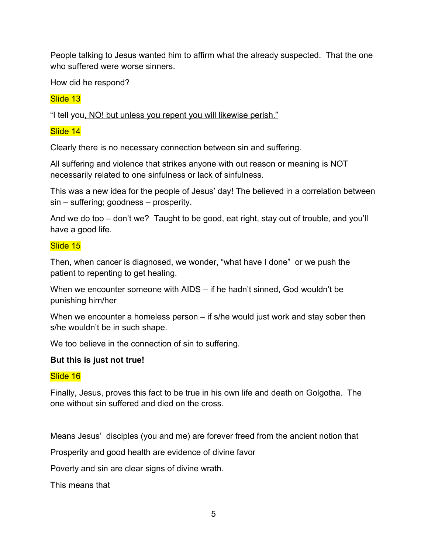People talking to Jesus wanted him to affirm what the already suspected. That the one who suffered were worse sinners.

How did he respond?

## Slide 13

"I tell you, NO! but unless you repent you will likewise perish."

## Slide 14

Clearly there is no necessary connection between sin and suffering.

All suffering and violence that strikes anyone with out reason or meaning is NOT necessarily related to one sinfulness or lack of sinfulness.

This was a new idea for the people of Jesus' day! The believed in a correlation between sin – suffering; goodness – prosperity.

And we do too – don't we? Taught to be good, eat right, stay out of trouble, and you'll have a good life.

## Slide 15

Then, when cancer is diagnosed, we wonder, "what have I done" or we push the patient to repenting to get healing.

When we encounter someone with AIDS – if he hadn't sinned, God wouldn't be punishing him/her

When we encounter a homeless person – if s/he would just work and stay sober then s/he wouldn't be in such shape.

We too believe in the connection of sin to suffering.

## **But this is just not true!**

## Slide 16

Finally, Jesus, proves this fact to be true in his own life and death on Golgotha. The one without sin suffered and died on the cross.

Means Jesus' disciples (you and me) are forever freed from the ancient notion that

Prosperity and good health are evidence of divine favor

Poverty and sin are clear signs of divine wrath.

This means that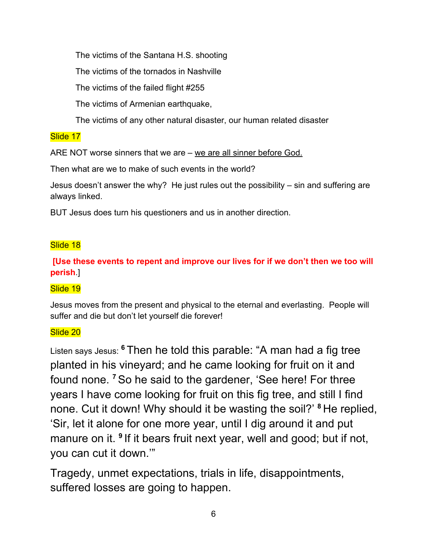The victims of the Santana H.S. shooting

The victims of the tornados in Nashville

The victims of the failed flight #255

The victims of Armenian earthquake,

The victims of any other natural disaster, our human related disaster

## Slide 17

ARE NOT worse sinners that we are – we are all sinner before God.

Then what are we to make of such events in the world?

Jesus doesn't answer the why? He just rules out the possibility – sin and suffering are always linked.

BUT Jesus does turn his questioners and us in another direction.

# Slide 18

# **[Use these events to repent and improve our lives for if we don't then we too will perish**.]

# Slide 19

Jesus moves from the present and physical to the eternal and everlasting. People will suffer and die but don't let yourself die forever!

# Slide 20

Listen says Jesus: **<sup>6</sup>** Then he told this parable: "A man had a fig tree planted in his vineyard; and he came looking for fruit on it and found none. **<sup>7</sup>** So he said to the gardener, 'See here! For three years I have come looking for fruit on this fig tree, and still I find none. Cut it down! Why should it be wasting the soil?' **<sup>8</sup>** He replied, 'Sir, let it alone for one more year, until I dig around it and put manure on it. <sup>9</sup> If it bears fruit next year, well and good; but if not, you can cut it down.'"

Tragedy, unmet expectations, trials in life, disappointments, suffered losses are going to happen.